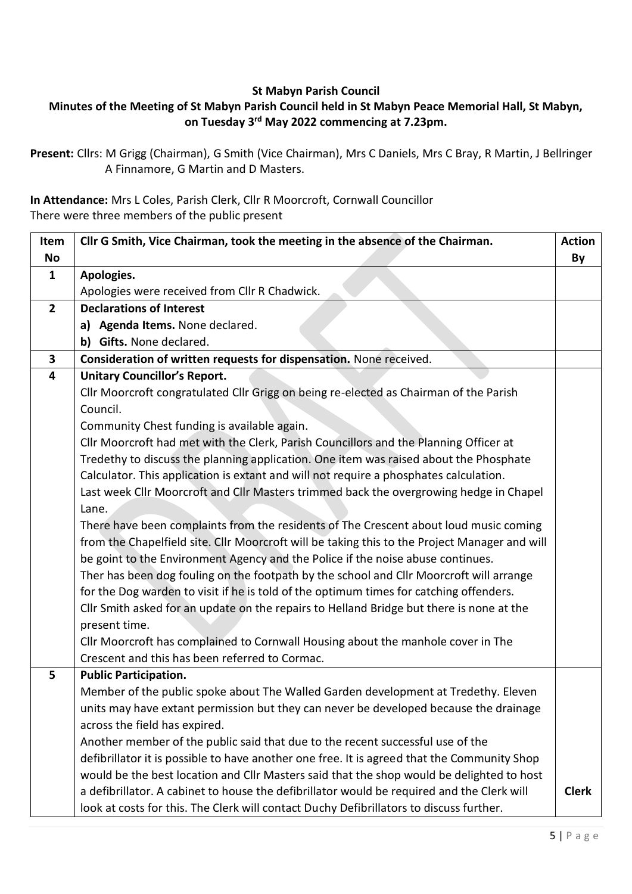## **St Mabyn Parish Council**

## **Minutes of the Meeting of St Mabyn Parish Council held in St Mabyn Peace Memorial Hall, St Mabyn, on Tuesday 3 rd May 2022 commencing at 7.23pm.**

**Present:** Cllrs: M Grigg (Chairman), G Smith (Vice Chairman), Mrs C Daniels, Mrs C Bray, R Martin, J Bellringer A Finnamore, G Martin and D Masters.

**In Attendance:** Mrs L Coles, Parish Clerk, Cllr R Moorcroft, Cornwall Councillor There were three members of the public present

| Item                    | Cllr G Smith, Vice Chairman, took the meeting in the absence of the Chairman.                 | <b>Action</b> |
|-------------------------|-----------------------------------------------------------------------------------------------|---------------|
| <b>No</b>               |                                                                                               | By            |
| $\mathbf{1}$            | Apologies.                                                                                    |               |
|                         | Apologies were received from Cllr R Chadwick.                                                 |               |
| $\overline{2}$          | <b>Declarations of Interest</b>                                                               |               |
|                         | a) Agenda Items. None declared.                                                               |               |
|                         | b) Gifts. None declared.                                                                      |               |
| $\mathbf{3}$            | Consideration of written requests for dispensation. None received.                            |               |
| $\overline{\mathbf{4}}$ | <b>Unitary Councillor's Report.</b>                                                           |               |
|                         | Cllr Moorcroft congratulated Cllr Grigg on being re-elected as Chairman of the Parish         |               |
|                         | Council.                                                                                      |               |
|                         | Community Chest funding is available again.                                                   |               |
|                         | Cllr Moorcroft had met with the Clerk, Parish Councillors and the Planning Officer at         |               |
|                         | Tredethy to discuss the planning application. One item was raised about the Phosphate         |               |
|                         | Calculator. This application is extant and will not require a phosphates calculation.         |               |
|                         | Last week Cllr Moorcroft and Cllr Masters trimmed back the overgrowing hedge in Chapel        |               |
|                         | Lane.                                                                                         |               |
|                         | There have been complaints from the residents of The Crescent about loud music coming         |               |
|                         | from the Chapelfield site. Cllr Moorcroft will be taking this to the Project Manager and will |               |
|                         | be goint to the Environment Agency and the Police if the noise abuse continues.               |               |
|                         | Ther has been dog fouling on the footpath by the school and Cllr Moorcroft will arrange       |               |
|                         | for the Dog warden to visit if he is told of the optimum times for catching offenders.        |               |
|                         | Cllr Smith asked for an update on the repairs to Helland Bridge but there is none at the      |               |
|                         | present time.                                                                                 |               |
|                         | Cllr Moorcroft has complained to Cornwall Housing about the manhole cover in The              |               |
|                         | Crescent and this has been referred to Cormac.                                                |               |
| 5                       | <b>Public Participation.</b>                                                                  |               |
|                         | Member of the public spoke about The Walled Garden development at Tredethy. Eleven            |               |
|                         | units may have extant permission but they can never be developed because the drainage         |               |
|                         | across the field has expired.                                                                 |               |
|                         | Another member of the public said that due to the recent successful use of the                |               |
|                         | defibrillator it is possible to have another one free. It is agreed that the Community Shop   |               |
|                         | would be the best location and Cllr Masters said that the shop would be delighted to host     |               |
|                         | a defibrillator. A cabinet to house the defibrillator would be required and the Clerk will    | <b>Clerk</b>  |
|                         | look at costs for this. The Clerk will contact Duchy Defibrillators to discuss further.       |               |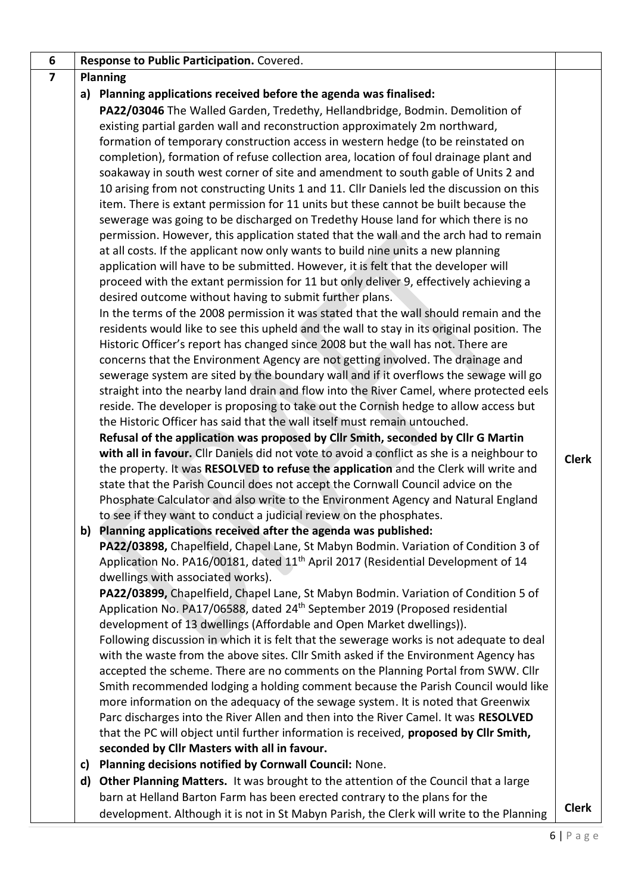| 6                       |    | Response to Public Participation. Covered.                                                                              |              |  |
|-------------------------|----|-------------------------------------------------------------------------------------------------------------------------|--------------|--|
| $\overline{\mathbf{z}}$ |    | <b>Planning</b>                                                                                                         |              |  |
|                         |    | a) Planning applications received before the agenda was finalised:                                                      |              |  |
|                         |    | PA22/03046 The Walled Garden, Tredethy, Hellandbridge, Bodmin. Demolition of                                            |              |  |
|                         |    | existing partial garden wall and reconstruction approximately 2m northward,                                             |              |  |
|                         |    | formation of temporary construction access in western hedge (to be reinstated on                                        |              |  |
|                         |    | completion), formation of refuse collection area, location of foul drainage plant and                                   |              |  |
|                         |    | soakaway in south west corner of site and amendment to south gable of Units 2 and                                       |              |  |
|                         |    | 10 arising from not constructing Units 1 and 11. Cllr Daniels led the discussion on this                                |              |  |
|                         |    | item. There is extant permission for 11 units but these cannot be built because the                                     |              |  |
|                         |    | sewerage was going to be discharged on Tredethy House land for which there is no                                        |              |  |
|                         |    | permission. However, this application stated that the wall and the arch had to remain                                   |              |  |
|                         |    | at all costs. If the applicant now only wants to build nine units a new planning                                        |              |  |
|                         |    | application will have to be submitted. However, it is felt that the developer will                                      |              |  |
|                         |    | proceed with the extant permission for 11 but only deliver 9, effectively achieving a                                   |              |  |
|                         |    | desired outcome without having to submit further plans.                                                                 |              |  |
|                         |    | In the terms of the 2008 permission it was stated that the wall should remain and the                                   |              |  |
|                         |    | residents would like to see this upheld and the wall to stay in its original position. The                              |              |  |
|                         |    | Historic Officer's report has changed since 2008 but the wall has not. There are                                        |              |  |
|                         |    | concerns that the Environment Agency are not getting involved. The drainage and                                         |              |  |
|                         |    | sewerage system are sited by the boundary wall and if it overflows the sewage will go                                   |              |  |
|                         |    | straight into the nearby land drain and flow into the River Camel, where protected eels                                 |              |  |
|                         |    | reside. The developer is proposing to take out the Cornish hedge to allow access but                                    |              |  |
|                         |    | the Historic Officer has said that the wall itself must remain untouched.                                               |              |  |
|                         |    | Refusal of the application was proposed by Cllr Smith, seconded by Cllr G Martin                                        |              |  |
|                         |    | with all in favour. Cllr Daniels did not vote to avoid a conflict as she is a neighbour to                              | <b>Clerk</b> |  |
|                         |    | the property. It was RESOLVED to refuse the application and the Clerk will write and                                    |              |  |
|                         |    | state that the Parish Council does not accept the Cornwall Council advice on the                                        |              |  |
|                         |    | Phosphate Calculator and also write to the Environment Agency and Natural England                                       |              |  |
|                         |    | to see if they want to conduct a judicial review on the phosphates.                                                     |              |  |
|                         |    | b) Planning applications received after the agenda was published:                                                       |              |  |
|                         |    | PA22/03898, Chapelfield, Chapel Lane, St Mabyn Bodmin. Variation of Condition 3 of                                      |              |  |
|                         |    | Application No. PA16/00181, dated 11 <sup>th</sup> April 2017 (Residential Development of 14                            |              |  |
|                         |    | dwellings with associated works).<br>PA22/03899, Chapelfield, Chapel Lane, St Mabyn Bodmin. Variation of Condition 5 of |              |  |
|                         |    | Application No. PA17/06588, dated 24 <sup>th</sup> September 2019 (Proposed residential                                 |              |  |
|                         |    | development of 13 dwellings (Affordable and Open Market dwellings)).                                                    |              |  |
|                         |    | Following discussion in which it is felt that the sewerage works is not adequate to deal                                |              |  |
|                         |    | with the waste from the above sites. Cllr Smith asked if the Environment Agency has                                     |              |  |
|                         |    | accepted the scheme. There are no comments on the Planning Portal from SWW. Cllr                                        |              |  |
|                         |    | Smith recommended lodging a holding comment because the Parish Council would like                                       |              |  |
|                         |    | more information on the adequacy of the sewage system. It is noted that Greenwix                                        |              |  |
|                         |    | Parc discharges into the River Allen and then into the River Camel. It was RESOLVED                                     |              |  |
|                         |    | that the PC will object until further information is received, proposed by Cllr Smith,                                  |              |  |
|                         |    | seconded by Cllr Masters with all in favour.                                                                            |              |  |
|                         | C) | Planning decisions notified by Cornwall Council: None.                                                                  |              |  |
|                         | d) | Other Planning Matters. It was brought to the attention of the Council that a large                                     |              |  |
|                         |    | barn at Helland Barton Farm has been erected contrary to the plans for the                                              |              |  |
|                         |    | development. Although it is not in St Mabyn Parish, the Clerk will write to the Planning                                | <b>Clerk</b> |  |
|                         |    |                                                                                                                         |              |  |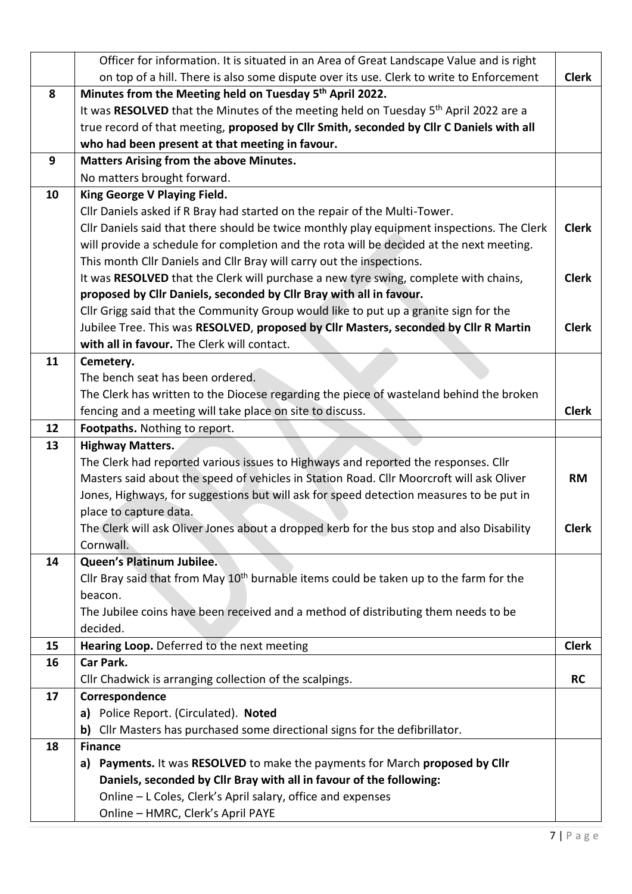|    | Officer for information. It is situated in an Area of Great Landscape Value and is right           |              |
|----|----------------------------------------------------------------------------------------------------|--------------|
|    | on top of a hill. There is also some dispute over its use. Clerk to write to Enforcement           | <b>Clerk</b> |
| 8  | Minutes from the Meeting held on Tuesday 5 <sup>th</sup> April 2022.                               |              |
|    | It was RESOLVED that the Minutes of the meeting held on Tuesday 5 <sup>th</sup> April 2022 are a   |              |
|    | true record of that meeting, proposed by Cllr Smith, seconded by Cllr C Daniels with all           |              |
|    | who had been present at that meeting in favour.                                                    |              |
| 9  | <b>Matters Arising from the above Minutes.</b>                                                     |              |
|    | No matters brought forward.                                                                        |              |
| 10 | King George V Playing Field.                                                                       |              |
|    | Cllr Daniels asked if R Bray had started on the repair of the Multi-Tower.                         |              |
|    | Cllr Daniels said that there should be twice monthly play equipment inspections. The Clerk         | <b>Clerk</b> |
|    | will provide a schedule for completion and the rota will be decided at the next meeting.           |              |
|    | This month Cllr Daniels and Cllr Bray will carry out the inspections.                              |              |
|    | It was RESOLVED that the Clerk will purchase a new tyre swing, complete with chains,               | <b>Clerk</b> |
|    | proposed by Cllr Daniels, seconded by Cllr Bray with all in favour.                                |              |
|    | Cllr Grigg said that the Community Group would like to put up a granite sign for the               |              |
|    | Jubilee Tree. This was RESOLVED, proposed by Cllr Masters, seconded by Cllr R Martin               | <b>Clerk</b> |
|    | with all in favour. The Clerk will contact.                                                        |              |
| 11 | Cemetery.                                                                                          |              |
|    | The bench seat has been ordered.                                                                   |              |
|    | The Clerk has written to the Diocese regarding the piece of wasteland behind the broken            |              |
|    | fencing and a meeting will take place on site to discuss.                                          | <b>Clerk</b> |
| 12 | Footpaths. Nothing to report.                                                                      |              |
|    |                                                                                                    |              |
| 13 | <b>Highway Matters.</b>                                                                            |              |
|    | The Clerk had reported various issues to Highways and reported the responses. Cllr                 |              |
|    | Masters said about the speed of vehicles in Station Road. Cllr Moorcroft will ask Oliver           | <b>RM</b>    |
|    | Jones, Highways, for suggestions but will ask for speed detection measures to be put in            |              |
|    | place to capture data.                                                                             |              |
|    | The Clerk will ask Oliver Jones about a dropped kerb for the bus stop and also Disability          | <b>Clerk</b> |
|    | Cornwall.                                                                                          |              |
| 14 | Queen's Platinum Jubilee.                                                                          |              |
|    | Cllr Bray said that from May 10 <sup>th</sup> burnable items could be taken up to the farm for the |              |
|    | beacon.                                                                                            |              |
|    | The Jubilee coins have been received and a method of distributing them needs to be                 |              |
|    | decided.                                                                                           |              |
| 15 | Hearing Loop. Deferred to the next meeting                                                         | <b>Clerk</b> |
| 16 | Car Park.                                                                                          |              |
|    | Cllr Chadwick is arranging collection of the scalpings.                                            | <b>RC</b>    |
| 17 | Correspondence                                                                                     |              |
|    | a) Police Report. (Circulated). Noted                                                              |              |
|    | b) Cllr Masters has purchased some directional signs for the defibrillator.                        |              |
| 18 | <b>Finance</b>                                                                                     |              |
|    | a) Payments. It was RESOLVED to make the payments for March proposed by Cllr                       |              |
|    | Daniels, seconded by Cllr Bray with all in favour of the following:                                |              |
|    | Online - L Coles, Clerk's April salary, office and expenses<br>Online - HMRC, Clerk's April PAYE   |              |